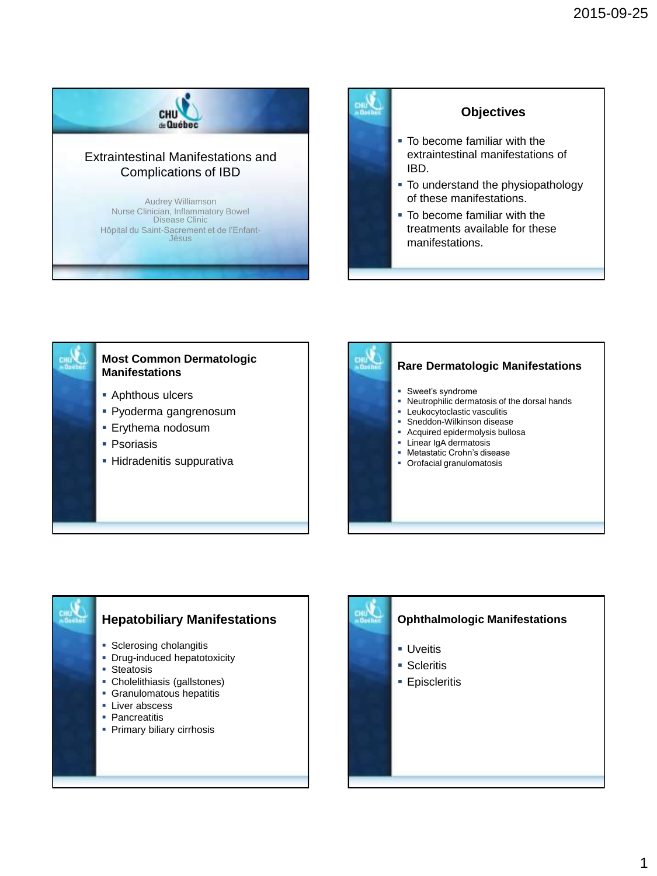

#### **Objectives**

- To become familiar with the extraintestinal manifestations of IBD.
- To understand the physiopathology of these manifestations.
- To become familiar with the treatments available for these manifestations.



# **Rare Dermatologic Manifestations** Sweet's syndrome Neutrophilic dermatosis of the dorsal hands **Leukocytoclastic vasculitis**  Sneddon-Wilkinson disease Acquired epidermolysis bullosa **Linear IgA dermatosis**  Metastatic Crohn's disease **• Orofacial granulomatosis**

## **Hepatobiliary Manifestations Sclerosing cholangitis Drug-induced hepatotoxicity Steatosis**  Cholelithiasis (gallstones) **Granulomatous hepatitis Liver abscess Pancreatitis Primary biliary cirrhosis**

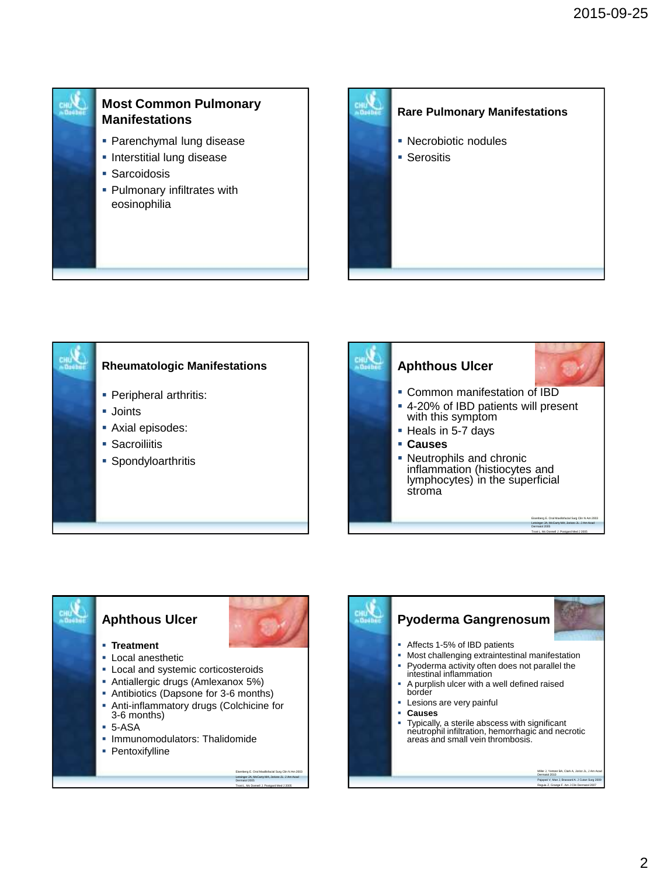

### **Most Common Pulmonary Manifestations**

- **Parenchymal lung disease**
- **Interstitial lung disease**
- **Sarcoidosis**
- **Pulmonary infiltrates with** eosinophilia









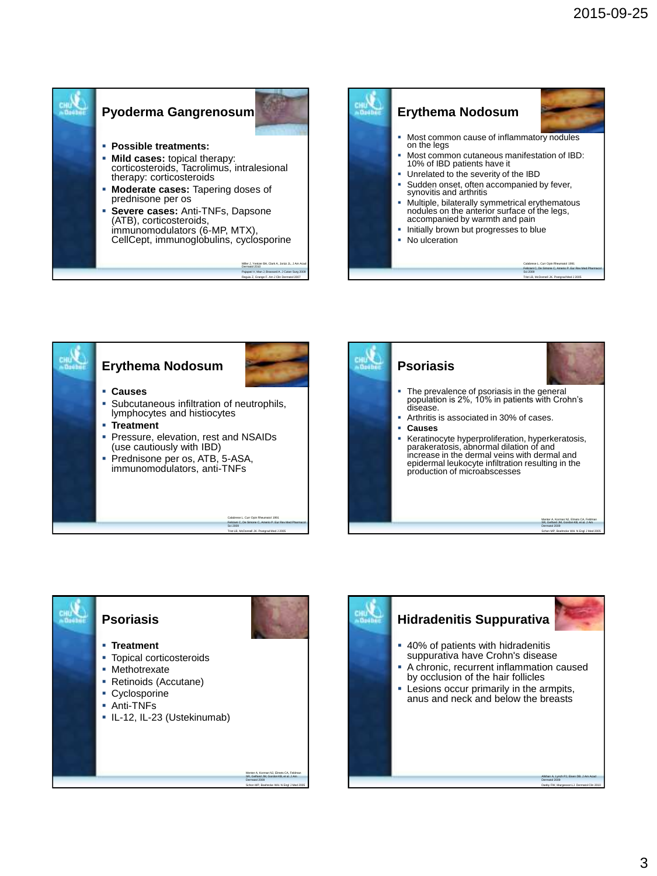





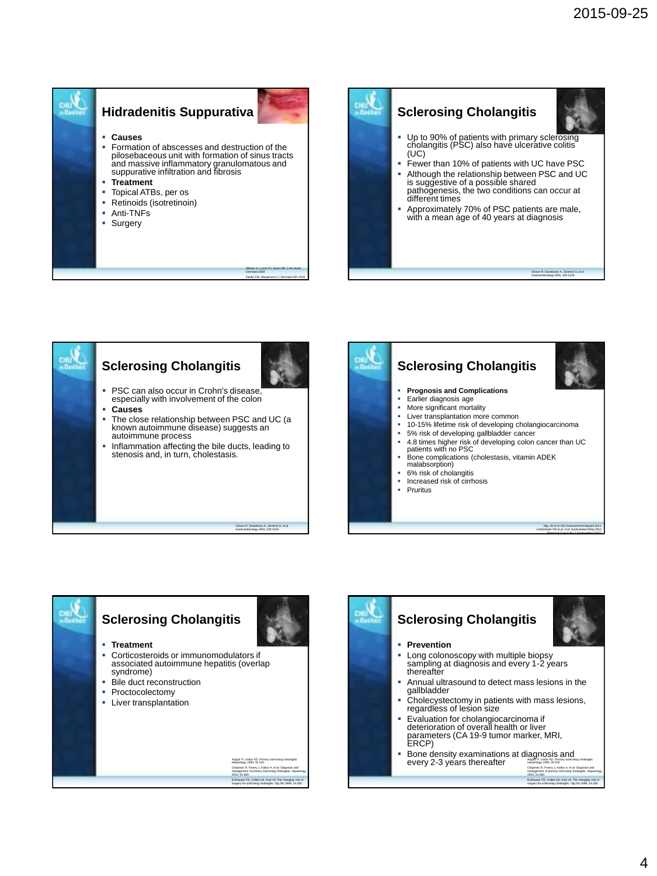



#### **Sclerosing Cholangitis**



- Up to 90% of patients with primary sclerosing cholangitis (PSC) also have ulcerative colitis (UC)
- Fewer than 10% of patients with UC have PSC
- Although the relationship between PSC and UC is suggestive of a possible shared pathogenesis, the two conditions can occur at different times
- Approximately 70% of PSC patients are male, with a mean age of 40 years at diagnosis

Olsson R, Danielsson A, Järnerot G, et al. Gastroenterology 1991; 100:1319





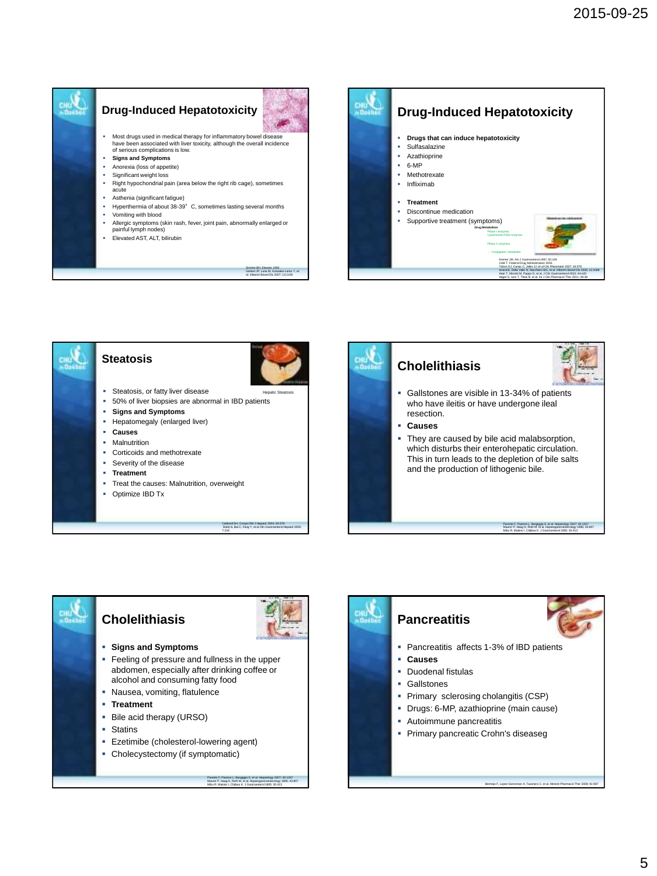# **Drug-Induced Hepatotoxicity** Most drugs used in medical therapy for inflammatory bowel disease have been associated with liver toxicity, although the overall incidence

- of serious complications is low. **Signs and Symptoms**
- Anorexia (loss of appetite)
- Significant weight loss
- Right hypochondrial pain (area below the right rib cage), sometimes acute
- Asthenia (significant fatigue)
- Hyperthermia of about 38-39°C, sometimes lasting several months
- Vomiting with blood
- Allergic symptoms (skin rash, fever, joint pain, abnormally enlarged or painful lymph nodes)

Stricker BH. Elsevier 1992 Gisbert JP, Luna M, Gonzalez-Lama Y, et al. Inflamm Bowel Dis 2007; 13:1106

Elevated AST, ALT, bilirubin

**Drug-Induced Hepatotoxicity Drugs that can induce hepatotoxicity Sulfasalazine**  Azathioprine  $-6-MP$ · Methotrexate Infliximab **Treatment** Discontinue medication Supportive treatment (symptoms) **Drug Metabolism** Phase I enzymes Cytochrome P450 enzymes Phase II enzymes Conjugated metabolite Kremer JM. Am J Gastroenterol 1997; 92:194 Côté T. Tobon GJ, Canas C, Jaller JJ, et al Clin Rheumatol 2007; 26:578 Ierardi E, Della Valle N, Nacchiero MC, et al. Inflamm Bowel Dis 2006; 12:1089

> Adar T, Mizrahi M, Pappo O, et al. J Clin Gastroenterol 2010; 44:e20 Hagel S, runs T, Theis B, et al. Int J Clin Pharmacol Ther 2011; 49:38





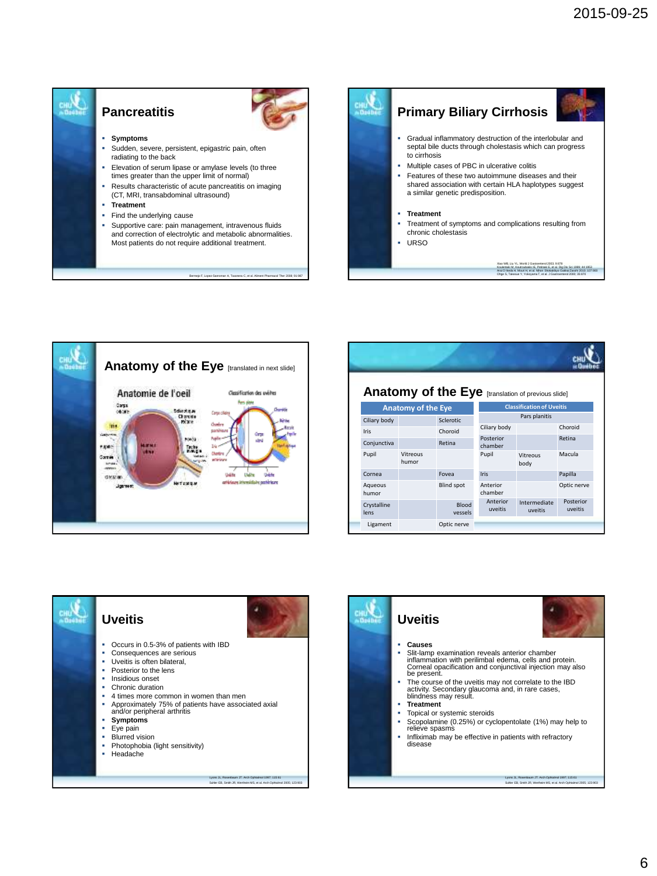

#### **Primary Biliary Cirrhosis**

- Gradual inflammatory destruction of the interlobular and septal bile ducts through cholestasis which can progress to cirrhosis
- Multiple cases of PBC in ulcerative colitis
- Features of these two autoimmune diseases and their shared association with certain HLA haplotypes suggest a similar genetic predisposition.

#### **Treatment**

- Treatment of symptoms and complications resulting from chronic cholestasis
- URSO

Xiao WB, Liu YL. World J Gastoantend 2003; 9:878<br>Koulentaki M, Koutroubakis IE, Petrinaki E, et al. Dig Dis Sci 1999; 44:1953<br>Anal O Itsaba H, Mouri H, et al. Nihon Shokaidbyo Gakkai Zasahi 2010; 107:900<br>Ohge S, Takesua Y,



| <b>Anatomy of the Eye</b> [translation of previous slide]<br><b>Classification of Uveitis</b> |                   |           |                      |                  |         |  |  |  |
|-----------------------------------------------------------------------------------------------|-------------------|-----------|----------------------|------------------|---------|--|--|--|
| <b>Anatomy of the Eye</b>                                                                     |                   |           | Pars planitis        |                  |         |  |  |  |
| Ciliary body                                                                                  |                   | Sclerotic |                      |                  |         |  |  |  |
| Iris                                                                                          |                   | Choroid   | Ciliary body         |                  | Choroid |  |  |  |
| Conjunctiva                                                                                   |                   | Retina    | Posterior<br>chamber |                  | Retina  |  |  |  |
| Pupil                                                                                         | Vitreous<br>humor |           | Pupil                | Vitreous<br>body | Macula  |  |  |  |

|                     | numor |                   |                     | body                    |                      |
|---------------------|-------|-------------------|---------------------|-------------------------|----------------------|
| Cornea              |       | Fovea             | Iris                |                         | Papilla              |
| Aqueous<br>humor    |       | <b>Blind spot</b> | Anterior<br>chamber |                         | Optic nerve          |
| Crystalline<br>lens |       | Blood<br>vessels  | Anterior<br>uveitis | Intermediate<br>uveitis | Posterior<br>uveitis |
| Ligament            |       | Optic nerve       |                     |                         |                      |
|                     |       |                   |                     |                         |                      |

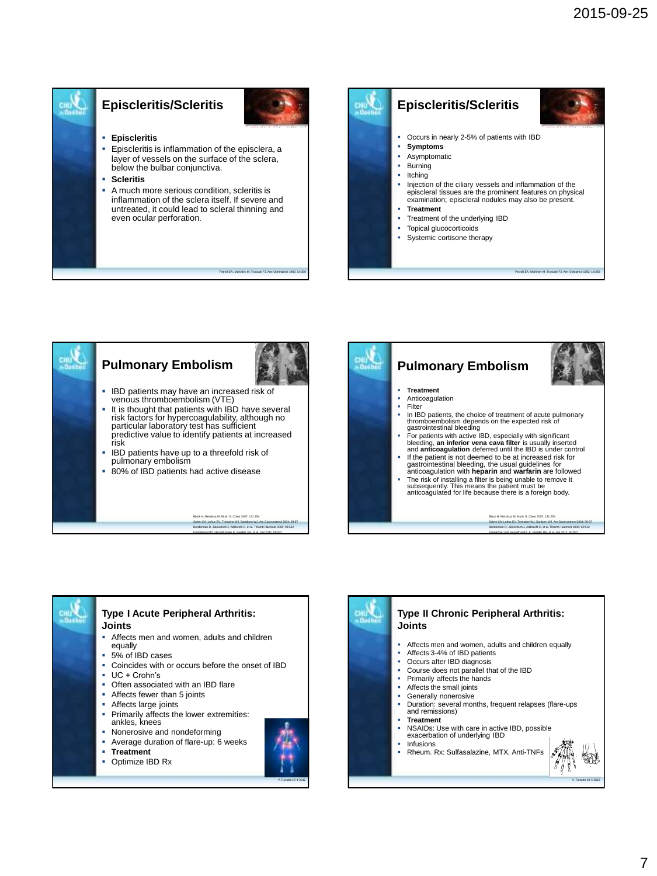

#### **Episcleritis/Scleritis**



Petrelli EA, McKinley M, Troncale FJ. Ann Ophthalmol 1982; 14

- **Episcleritis**
- Episcleritis is inflammation of the episclera, a layer of vessels on the surface of the sclera, below the bulbar conjunctiva.
- **Scleritis**
	- A much more serious condition, scleritis is inflammation of the sclera itself. If severe and untreated, it could lead to scleral thinning and even ocular perforation.

### **Episcleritis/Scleritis**



Petrelli EA, McKinley M, Troncale FJ. Ann Ophtalmol 1982; 14:356

- Occurs in nearly 2-5% of patients with IBD
- **Symptoms**
- Asymptomatic
- Burning
- Itching
- Injection of the ciliary vessels and inflammation of the episcleral tissues are the prominent features on physical examination; episcleral nodules may also be present.
- **Treatment**
- Treatment of the underlying IBD
- Topical glucocorticoids
- Systemic cortisone therapy





#### **Type I Acute Peripheral Arthritis: Joints**

- Affects men and women, adults and children
- equally
- 5% of IBD cases
- Coincides with or occurs before the onset of IBD

A Turcotte 19-4-2012

- UC + Crohn's
- Often associated with an IBD flare
- Affects fewer than 5 joints
- Affects large joints
- Primarily affects the lower extremities: ankles, knees
- Nonerosive and nondeforming
- Average duration of flare-up: 6 weeks
- **Treatment**
- Optimize IBD Rx

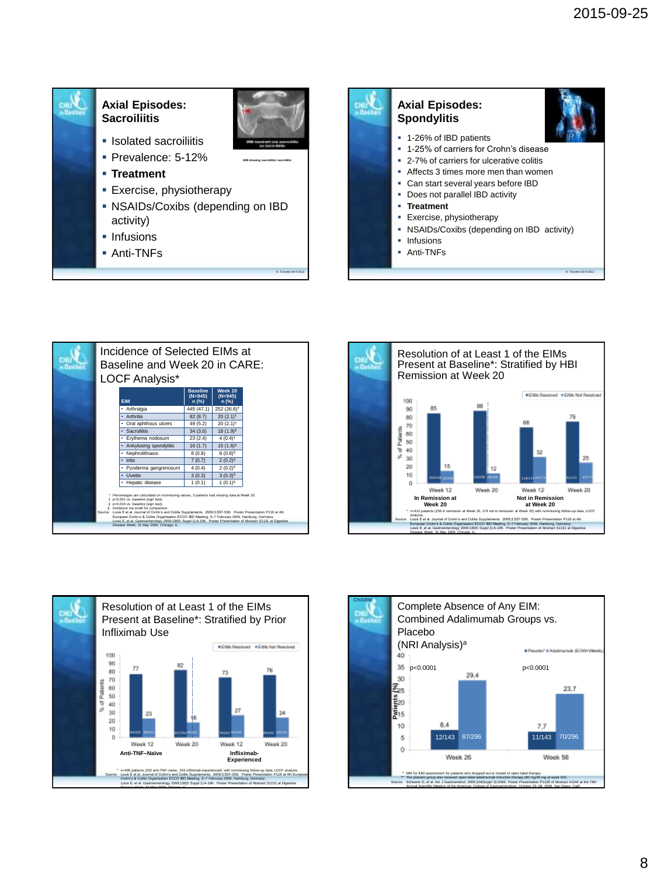



A. Turcotte 19-4-2012

### **Axial Episodes: Spondylitis**



A. Turcotte 19-4-2012

- 1-26% of IBD patients <sup>1</sup> 1-25% of carriers for Crohn's disease
- 2-7% of carriers for ulcerative colitis
- Affects 3 times more men than women
- Can start several years before IBD
- Does not parallel IBD activity
- **Treatment**
- **Exercise**, physiotherapy
- NSAIDs/Coxibs (depending on IBD activity)
- **Infusions**
- Anti-TNFs